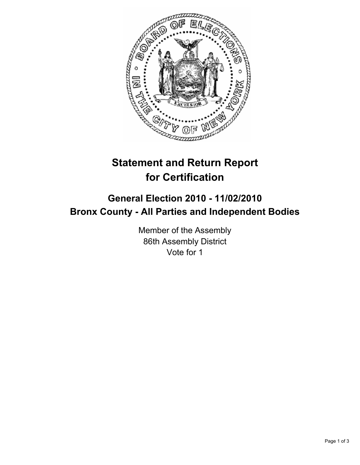

## **Statement and Return Report for Certification**

## **General Election 2010 - 11/02/2010 Bronx County - All Parties and Independent Bodies**

Member of the Assembly 86th Assembly District Vote for 1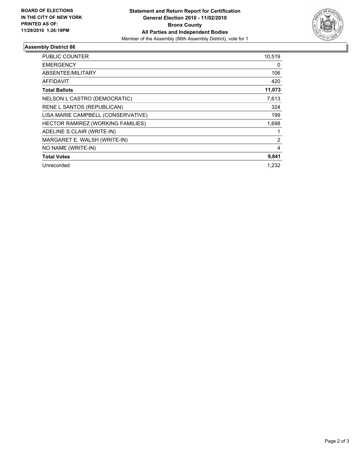

## **Assembly District 86**

| PUBLIC COUNTER                     | 10,519 |
|------------------------------------|--------|
| <b>EMERGENCY</b>                   | 0      |
| ABSENTEE/MILITARY                  | 106    |
| <b>AFFIDAVIT</b>                   | 420    |
| <b>Total Ballots</b>               | 11,073 |
| NELSON L CASTRO (DEMOCRATIC)       | 7,613  |
| RENE L SANTOS (REPUBLICAN)         | 324    |
| LISA MARIE CAMPBELL (CONSERVATIVE) | 199    |
| HECTOR RAMIREZ (WORKING FAMILIES)  | 1,698  |
| ADELINE S.CLAIR (WRITE-IN)         | 1      |
| MARGARET E. WALSH (WRITE-IN)       | 2      |
| NO NAME (WRITE-IN)                 | 4      |
| <b>Total Votes</b>                 | 9,841  |
| Unrecorded                         | 1.232  |